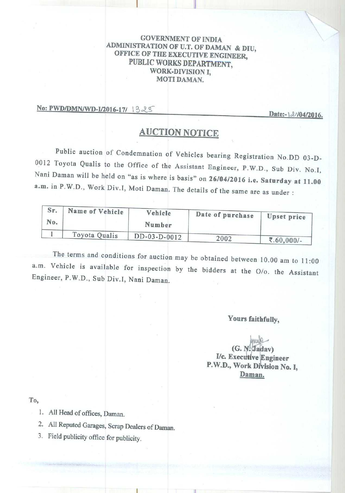## GOVERNMENT OF INDIA ADMINISTRATION OF U.T. OF DAMAN & DIU, OFFICE OF THE EXECUTIVE ENGINEER, PUBLIC WORKS DEPARTMENT, WORK-DIVISION I, MOTI DAMAN.

i

**No: PWD/DMN/WD-I/2016-17/** 1328 **Date:-** \\ 04/2016.

# AUCTION NOTICE

Public auction of Condemnation of Vehicles bearing Registration No.DD 03-D-0012 Toyota Qualis to the Office of the Assistant Engineer, P.W.D., Sub Div. No.1, Nani Daman will be held on "as is where is basis" on 26/04 **/2016 i**. **e. Saturday at 11.00 a.m. in** P.W.D., Work Div.I, Moti Daman. The details of the same are as under :

| Sr.<br>No. | Name of Vehicle | Vehicle<br>Number | Date of purchase | <b>Upset price</b> |
|------------|-----------------|-------------------|------------------|--------------------|
|            | Toyota Qualis   | DD-03-D-0012      |                  |                    |
|            |                 |                   | 2002             | ₹.60,000/-         |

The terms and conditions for auction may be obtained between 10.00 am to 11:00 a.m. Vehicle is available for inspection by the bidders at the O/o. the Assistant Engineer, P.W.D., Sub Div.I, Nani Daman.

# **Yours faithfully,**

 $(G. N. Jadav)$ **I/c. Executive Engineer** P.W.D., Work Division No. I, **Daman.**

To,

- 1. All Head of offices, **Daman.**
	- 2. All Reputed **Garages, Scrap Dealers of Daman.**
	- 3. Field publicity office for publicity.